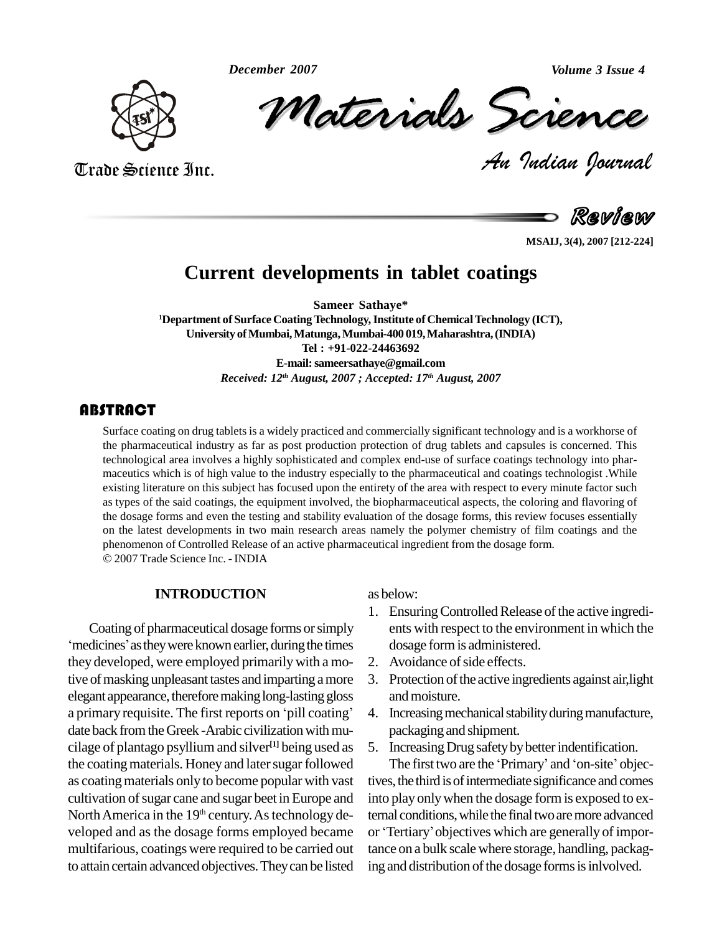*December 2007*



Trade Science Inc.

Trade Science Inc.

Volume 3 Issue 4<br> *CREMCE*<br> *Padian Pournal* mber 2007<br>Materials Scrence

**Review** 

*Volume 3 Issue 4*

**MSAIJ, 3(4), 2007 [212-224]**

## **Current developments in tablet coatings**

**Sameer Sathaye\* <sup>1</sup>Department of Surface CoatingTechnology,Institute of ChemicalTechnology (ICT), University ofMumbai,Matunga,Mumbai-400 019,Maharashtra,(INDIA) Tel : +91-022-24463692 E-mail:[sameersathaye@gmail.com](mailto:sameerstahaye@gmail.com)** *Received: 12 th August, 2007 ; Accepted: 17 th August, 2007*

## **ABSTRACT**

Surface coating on drug tablets is a widely practiced and commercially significant technology and is a workhorse of<br>the pharmaceutical industry as far as post production protection of drug tablets and capsules is concerned Surface coating on drug tablets is a widely practiced and commercially significant technology and is a workhorse of the pharmaceutical industry as far as post production protection of drug tablets and capsules is concerned. This maceutics which is of high value to the industry especially to the pharmaceutical and coatings technologist .While existing literature on this subject has focused upon the entirety of the area with respect to every minute factor such as types of the said coatings, the equipment involved, the biopharmaceutical aspects, the coloring and flavoring of the dosage forms and even the testing and stability evaluation of the dosage forms, this review focuses essentially on the latest developments in two main research areas namely the polymer chemistry of film coatings and the phenomenon of Controlled Release of an active pharmaceutical ingredient from the dosage form. 2007Trade Science Inc. - INDIA

#### **INTRODUCTION**

Coating of pharmaceutical dosage forms orsimply 'medicines' as they were known earlier, during the times they developed, were employed primarilywith a motive of masking unpleasant tastes and imparting a more elegant appearance, therefore making long-lasting gloss a primary requisite. The first reports on 'pill coating' date back from the Greek -Arabic civilization with mucilage of plantago psyllium and silver **[1]** being used as the coating materials. Honey and later sugar followed as coatingmaterials only to become popular with vast cultivation of sugar cane and sugar beet in Europe and North America in the 19<sup>th</sup> century. As technology de- tern veloped and as the dosage forms employed became or 'Tertiary' objectives which are generally of impormultifarious, coatings were required to be carried out to attain certain advanced objectives.Theycan be listed

as below:

- 1. Ensuring Controlled Release of the active ingredients with respect to the environment in which the dosage formis administered.
- 2. Avoidance of side effects.
- 3. Protection of the active ingredients against air, light andmoisture.
- 4. Increasing mechanical stability during manufacture, packaging and shipment.
- 5. Increasing Drug safety by better indentification.

The first two are the 'Primary' and 'on-site' objectives, the third is of intermediate significance and comes into play only when the dosage form is exposed to ex-<br>ternal conditions, while the final two are more advanced<br>or 'Tertiary' objectives which are generally of importernal conditions, while the final two are more advanced tance on a bulk scale where storage, handling, packaging and distribution of the dosage forms is inly olved.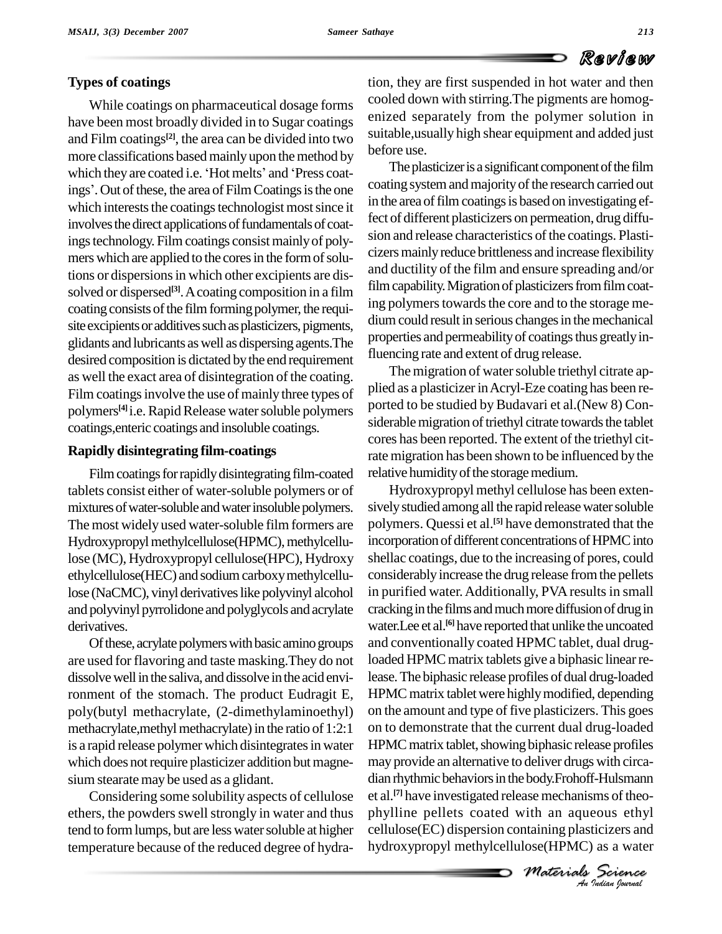## **Types of coatings**

While coatings on pharmaceutical dosage forms have been most broadly divided in to Sugar coatings and Film coatings<sup>[2]</sup>, the area can be divided into two<br>more classifications based mainly upon the method by<br>which they are coated i.e. 'Hot melts' and 'Press coatmore classifications based mainly upon the method by which they are coated i.e. 'Hot melts' and 'Press coatings'. Out of these, the area of Film Coatings is the one which interests the coatings technologist most since it involves the direct applications of fundamentals of coatings technology. Film coatings consist mainly of polymers which are applied to the cores in the form of solutions or dispersions in which other excipients are dissolved or dispersed<sup>[3]</sup>. A coating composition in a film  $\frac{1}{2}$ coating consists of the film forming polymer, the requisite excipients or additives such as plasticizers, pigments, glidants and lubricants aswell as dispersingagents.The desired composition is dictated by the end requirement as well the exact area of disintegration of the coating.<br>Film coatings involve the use of mainly three types of plied as a plasticizer in Acryl-Eze coating has been re-Film coatings involve the use of mainly three types of polymers<sup>[4]</sup> i.e. Rapid Release water soluble polymers Port coatings,enteric coatings and insoluble coatings.

#### **Rapidly disintegrating film-coatings**

Film coatings for rapidly disintegrating film-coated tablets consist either of water-soluble polymers or of mixtures of water-soluble and water insoluble polymers. The most widely used water-soluble film formers are Hydroxypropyl methylcellulose(HPMC), methylcellulose (MC), Hydroxypropyl cellulose(HPC), Hydroxy ethylcellulose(HEC) and sodium carboxy methylcellulose (NaCMC), vinyl derivatives like polyvinyl alcohol and polyvinyl pyrrolidone and polyglycols and acrylate derivatives.

Of these, acrylate polymers with basic amino groups are used for flavoring and taste masking.They do not dissolve well in the saliva, and dissolve in the acid environment of the stomach. The product Eudragit E, poly(butyl methacrylate, (2-dimethylaminoethyl) methacrylate, methyl methacrylate) in the ratio of 1:2:1 is a rapid release polymer which disintegrates in water which does not require plasticizer addition but magnesium stearate may be used as a glidant.

Considering some solubility aspects of cellulose ethers, the powders swell strongly in water and thus tend to form lumps, but are less water soluble at higher temperature because of the reduced degree of hydration, they are first suspended in hot water and then cooled down with stirring.The pigments are homog enized separately from the polymer solution in suitable,usually high shear equipment and added just before use.

The plasticizer is a significant component of the film coating system and majority of the research carried out in the area of film coatings is based on investigating effect of different plasticizers on permeation, drug diffu sion and release characteristics of the coatings. Plasticizersmainlyreduce brittleness and increase flexibility and ductility of the film and ensure spreading and/or film capability. Migration of plasticizers from film coating polymers towards the core and to the storage medium could result in serious changes in the mechanical properties and permeability of coatings thus greatly influencing rate and extent of drug release.

The migration of water soluble triethyl citrate apported to be studied by Budavari et al.(New 8) Considerable migration of triethyl citrate towards the tablet cores has been reported. The extent of the triethyl citrate migration has been shown to be influenced by the relative humidity of the storage medium.

ase mechanisms of theo-<br> *i*th an aqueous ethyl<br> **Materials** Science<br> *Materials* Science *An*dian rhythmicbehaviorsin the body.Frohoff-Hulsmann Hydroxypropyl methyl cellulose has been exten sively studied among all the rapid release water soluble polymers. Quessi et al.<sup>[5]</sup> have demonstrated that the incorporation of different concentrations of HPMC into shellac coatings, due to the increasing of pores, could considerablyincrease the drug release fromthe pellets in purified water. Additionally, PVA results in small cracking in the films and much more diffusion of drug in water.Lee et al. **[6]** have reported that unlike the uncoated and conventionally coated HPMC tablet, dual drugloaded HPMC matrix tablets give a biphasic linear release. The biphasic release profiles of dual drug-loaded HPMC matrix tablet were highly modified, depending on the amount and type of five plasticizers. This goes on to demonstrate that the current dual drug-loaded HPMC matrix tablet, showing biphasic release profiles may provide an alternative to deliver drugs with circa et al.<sup>[7]</sup> have investigated release mechanisms of theophylline pellets coated with an aqueous ethyl cellulose(EC) dispersion containing plasticizers and hydroxypropyl methylcellulose(HPMC) as a water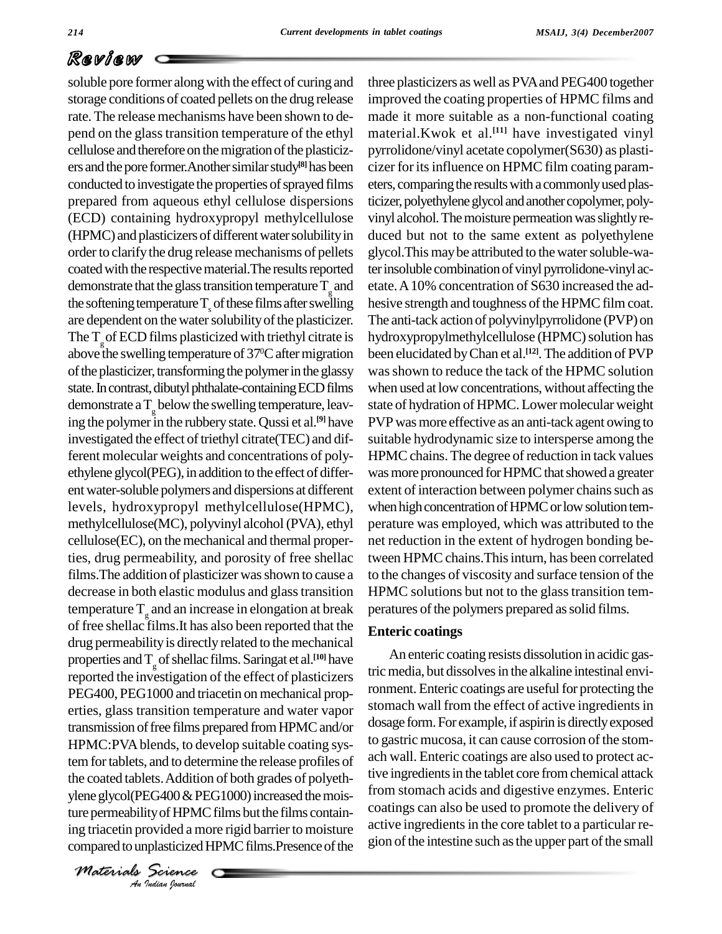the coated tablets. Addition of both grades of polyeth-*EG400 & PEG400 & PEG400 & PEG400 & PEG400<br><i>I*ndian *Indian bounda* soluble pore former along with the effect of curing and storage conditions of coated pellets on the drug release rate. The release mechanisms have been shown to de pend on the glasstransition temperature of the ethyl cellulose and therefore on the migration of the plasticizers and the pore former. Another similar study<sup>[8]</sup> has been cizer for conducted to investigate the properties of sprayed films prepared from aqueous ethyl cellulose dispersions (ECD) containing hydroxypropyl methylcellulose (HPMC) and plasticizers of different water solubility in order to clarify the drug release mechanisms of pellets coated with the respective material. The results reported demonstrate that the glass transition temperature  $T_g$  and etate the softening temperature  $T_{s}$  of these films after swelling are dependent on the water solubility of the plasticizer. The  $T_{\text{g}}$  of ECD films plasticized with triethyl citrate is hydr above the swelling temperature of 37<sup>o</sup>C after migration been el of the plasticizer, transforming the polymer in the glassy state. In contrast, dibutyl phthalate-containing ECD films demonstrate a  $T_g$  below the swelling temperature, leaving the polymer in the rubbery state. Qussi et al.<sup>[9]</sup> have PVP v investigated the effect of triethyl citrate(TEC) and different molecular weights and concentrations of poly ethylene glycol(PEG), in addition to the effect of different water-soluble polymers and dispersions at different levels, hydroxypropyl methylcellulose(HPMC), methylcellulose(MC), polyvinyl alcohol(PVA), ethyl cellulose(EC), on the mechanical and thermal properties, drug permeability, and porosity of free shellac films. The addition of plasticizer was shown to cause a decrease in both elastic modulus and glasstransition temperature  $T_g$  and an increase in elongation at break perature of free shellac films. It has also been reported that the drug permeability is directly related to the mechanical properties and  $T_g$  of shellac films. Saringat et al.<sup>[10]</sup> have reported the investigation of the effect of plasticizers PEG400, PEG1000 and triacetin on mechanical properties, glass transition temperature and water vapor transmission of free films prepared from HPMC and/or HPMC:PVAblends, to develop suitable coating system for tablets, and to determine the release profiles of ylene glycol(PEG400 $\&$  PEG1000) increased the moisture permeability of HPMC films but the films containing triacetin provided a more rigid barrier to moisture compared to unplasticized HPMC films.Presence of the

*Materials Science*

and etate.A10% concentration of S630 increased the ad three plasticizers as well as PVAand PEG400 together improved the coating properties of HPMC films and made it more suitable as a non-functional coating material.Kwok et al. **[11]** have investigated vinyl pyrrolidone/vinyl acetate copolymer(S630) as plasti cizer for its influence on HPMC film coating parameters, comparing the results with a commonly used plasticizer, polyethylene glycol and another copolymer, polyvinyl alcohol. The moisture permeation was slightly reduced but not to the same extent as polyethylene glycol. This may be attributed to the water soluble-water insoluble combination of vinyl pyrrolidone-vinyl achesive strength and toughness of the HPMC film coat. The anti-tack action of polyvinylpyrrolidone (PVP) on hydroxypropylmethylcellulose (HPMC) solution has been elucidated byChan et al. **[12]**.The addition of PVP was shown to reduce the tack of the HPMC solution when used at low concentrations, without affecting the state of hydration of HPMC. Lower molecular weight PVP was more effective as an anti-tack agent owing to suitable hydrodynamic size to intersperse among the HPMC chains. The degree of reduction in tack values was more pronounced for HPMC that showed a greater extent of interaction between polymer chains such as when high concentration of HPMC or low solution temperature was employed, which was attributed to the net reduction in the extent of hydrogen bonding between HPMC chains. This inturn, has been correlated to the changes of viscosity and surface tension of the HPMC solutions but not to the glass transition temperatures of the polymers prepared as solid films.

### **Enteric coatings**

An enteric coating resists dissolution in acidic gastric media, but dissolves in the alkaline intestinal environment. Enteric coatings are useful for protecting the stomach wall from the effect of active ingredients in dosage form. For example, if aspirin is directly exposed to gastric mucosa, it can cause corrosion of the stom ach wall. Enteric coatings are also used to protect active ingredients in the tablet core from chemical attack from stomach acids and digestive enzymes. Enteric coatings can also be used to promote the delivery of active ingredients in the core tablet to a particular region of the intestine such as the upper part of the small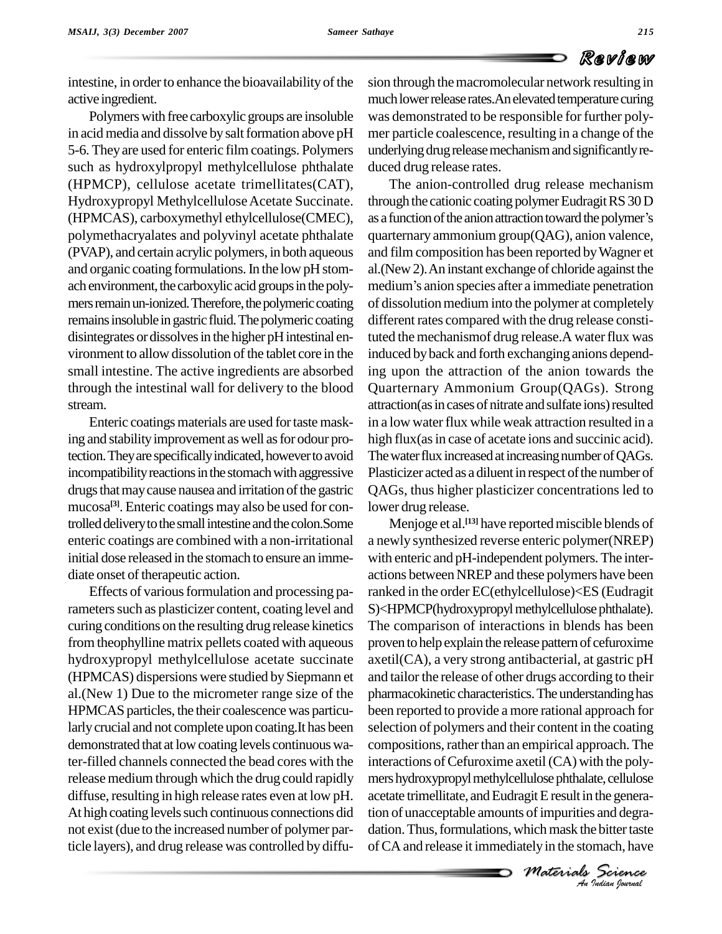intestine, in order to enhance the bioavailability of the active ingredient.

Polymers with free carboxylic groups are insoluble in acid media and dissolve by salt formation above pH 5-6. Theyare used for enteric film coatings. Polymers such as hydroxylpropyl methylcellulose phthalate (HPMCP), cellulose acetate trimellitates(CAT), Hydroxypropyl Methylcellulose Acetate Succinate. (HPMCAS), carboxymethyl ethylcellulose(CMEC), polymethacryalates and polyvinyl acetate phthalate (PVAP), and certain acrylic polymers, in both aqueous and organic coating formulations.In the low pH stom ach environment, the carboxylic acid groups in the poly- medium's anion species after a immediate penetration mers remain un-ionized. Therefore, the polymeric coating remains insoluble in gastric fluid. The polymeric coating disintegrates or dissolves in the higher pH intestinal environment to allow dissolution of the tablet core in the small intestine. The active ingredients are absorbed through the intestinal wall for delivery to the blood stream.

Enteric coatings materials are used for taste masking and stability improvement as well as for odour protection. They are specifically indicated, however to avoid incompatibility reactions in the stomach with aggressive drugs that may cause nausea and irritation of the gastric mucosa **[3]**. Enteric coatings may also be used for controlled delivery to the small intestine and the colon.Some enteric coatings are combined with a non-irritational initial dose released in the stomach to ensure an imme diate onset of therapeutic action.

Effects of various formulation and processing parameters such as plasticizer content, coating level and curing conditions on the resulting drug release kinetics from theophylline matrix pellets coated with aqueous hydroxypropyl methylcellulose acetate succinate (HPMCAS) dispersions were studied bySiepmann et al.(New 1) Due to the micrometer range size of the HPMCAS particles, the their coalescence was particularly crucial and not complete upon coating. It has been demonstrated that at low coating levels continuous water-filled channels connected the bead cores with the release medium through which the drug could rapidly diffuse, resulting in high release rates even at low pH. At high coating levels such continuous connections did not exist(due to the increased number of polymer particle layers), and drug release was controlled by diffusion through the macromolecular network resulting in much lower release rates. An elevated temperature curing was demonstrated to be responsible for further poly mer particle coalescence, resulting in a change of the underlying drug release mechanism and significantly reduced drug release rates.

The anion-controlled drug release mechanism through the cationic coating polymer Eudragit RS 30 D The anion-controlled drug release mechanism<br>through the cationic coating polymer Eudragit RS 30 D<br>as a function of the anion attraction toward the polymer's quarternary ammonium group(QAG), anion valence, and film composition has been reported by Wagner et<br>al.(New 2). An instant exchange of chloride against the<br>medium's anion species after a immediate penetration al.(New2).An instant exchange of chloride against the of dissolution medium into the polymer at completely different rates compared with the drug release constituted the mechanismof drug release.A water flux was induced byback and forth exchanging anions depending upon the attraction of the anion towards the Quarternary Ammonium Group(QAGs). Strong attraction(as in cases of nitrate and sulfate ions) resulted in a low water flux while weak attraction resulted in a high flux (as in case of acetate ions and succinic acid). The water flux increased at increasing number of QAGs. Plasticizer acted as a diluent in respect of the number of QAGs, thus higher plasticizer concentrations led to lower drug release.

*Material in the generation is and degration in the seneration in the stomach, have*  $M$  $\ell$  *<i>Materials An*mershydroxypropylmethylcellulosephthalate,cellulose Menjoge et al. **[13]** have reportedmiscible blends of a newly synthesized reverse enteric polymer(NREP) with enteric and pH-independent polymers. The inter actions between NREP and these polymers have been ranked in the order EC(ethylcellulose)<ES (Eudragit S)<HPMCP(hydroxypropyl methylcellulose phthalate). The comparison of interactions in blends has been proven to help explain the release pattern of cefuroxime axetil(CA), a very strong antibacterial, at gastric pH and tailor the release of other drugs according to their pharmacokinetic characteristics. The understanding has been reported to provide a more rational approach for selection of polymers and their content in the coating compositions, rather than an empirical approach. The interactions of Cefuroxime axetil (CA) with the polyacetate trimellitate, and Eudragit E result in the generation of unacceptable amounts of impurities and degradation. Thus, formulations, which mask the bitter taste ofCA and release it immediatelyin the stomach, have

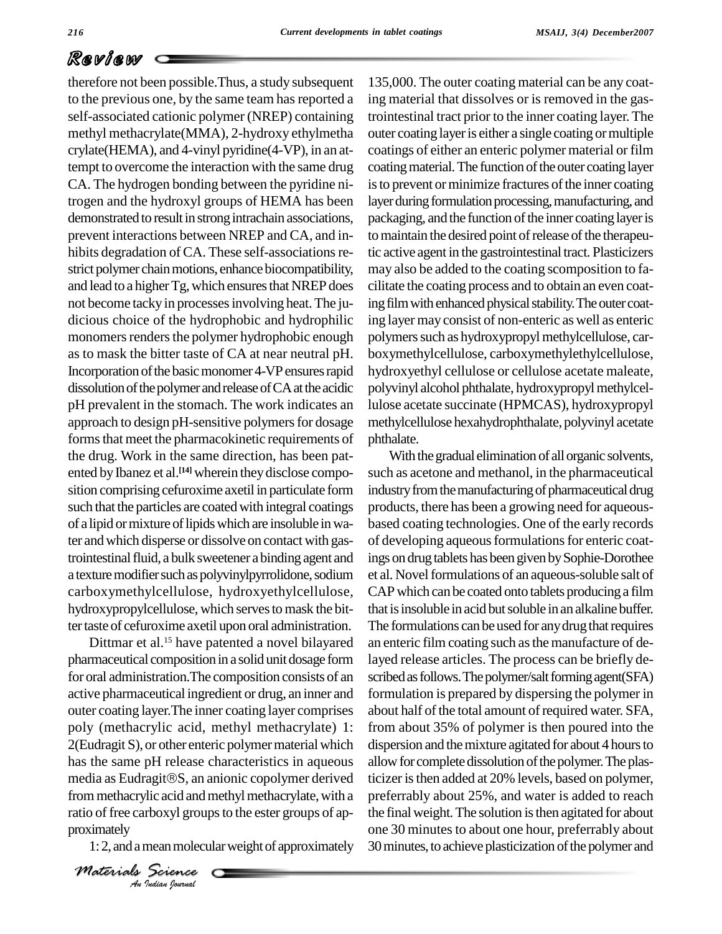therefore not been possible.Thus, a study subsequent to the previous one, by the same team has reported a self-associated cationic polymer (NREP) containing methyl methacrylate(MMA), 2-hydroxy ethylmetha crylate(HEMA), and 4-vinyl pyridine(4-VP), in an attempt to overcome the interaction with the same drug CA. The hydrogen bonding between the pyridine nitrogen and the hydroxyl groups of HEMA has been demonstrated to result in strong intrachain associations, prevent interactions between NREP and CA, and in-<br>hibits degradation of CA. These self-associations restrict polymer chain motions, enhance biocompatibility, and lead to a higher Tg, which ensures that NREP does not become tacky in processesinvolving heat.The ju dicious choice of the hydrophobic and hydrophilic monomers renders the polymer hydrophobic enough as to mask the bitter taste of CA at nearneutral pH. Incorporation of the basic monomer 4-VP ensures rapid dissolution of the polymer and release of CA at the acidic pH prevalent in the stomach. The work indicates an approach to design pH-sensitive polymers for dosage forms that meet the pharmacokinetic requirements of the drug. Work in the same direction, has been pat ented by Ibanez et al.<sup>[14]</sup> wherein they disclose compo- such sition comprising cefuroxime axetil in particulate form such that the particles are coated with integral coatings of a lipid or mixture of lipids which are insoluble in water andwhich disperse or dissolve on contact with gastrointestinalfluid, a bulk sweetener abinding agent and a texture modifier such as polyvinylpyrrolidone, sodium carboxymethylcellulose, hydroxyethylcellulose, hydroxypropylcellulose, which serves to mask the bitter taste of cefuroxime axetil upon oral administration.

media as Eudragit®S, an anionic copolymer derived *Indian*<br>*Indian Proxyl* group<br>**Indian Iournal** Dittmar et al.<sup>15</sup> have patented a novel bilayared pharmaceutical composition in a solid unit dosage form for oral administration.The composition consists of an active pharmaceutical ingredient or drug, an inner and outer coating layer.The inner coating layer comprises poly (methacrylic acid, methyl methacrylate) 1: 2(Eudragit S), or other enteric polymer material which dispers<br>has the same pH release characteristics in aqueous allow for<br>media as Eudragit®S, an anionic copolymer derived ticizer has the same pH release characteristics in aqueous from methacrylic acid and methyl methacrylate, with a ratio of free carboxyl groups to the ester groups of approximately

1: 2, and a mean molecular weight of approximately

*Materials Science*

135,000. The outer coating material can be any coating material that dissolves or is removed in the gastrointestinal tract prior to the inner coating layer. The outer coating layeris either a single coating ormultiple coatings of either an enteric polymer material or film coating material. The function of the outer coating layer is to prevent or minimize fractures of the inner coating layer during formulation processing, manufacturing, and packaging, and the function of the inner coating layer is to maintain the desired point of release of the therapeutic active agent in the gastrointestinal tract. Plasticizers may also be added to the coating scomposition to fa cilitate the coating process and to obtain an even coating film with enhanced physical stability. The outer coating layer may consist of non-enteric as well as enteric polymers such as hydroxypropyl methylcellulose, carboxymethylcellulose, carboxymethylethylcellulose, hydroxyethyl cellulose or cellulose acetate maleate, polyvinyl alcohol phthalate, hydroxypropylmethylcellulose acetate succinate (HPMCAS), hydroxypropyl methylcellulose hexahydrophthalate, polyvinyl acetate phthalate.

With the gradual elimination of all organic solvents, such as acetone and methanol, in the pharmaceutical industry from the manufacturing of pharmaceutical drug products, there has been a growing need for aqueousbased coating technologies. One of the early records of developing aqueous formulations for enteric coatings on drug tablets has been given by Sophie-Dorothee et al. Novel formulations of an aqueous-soluble salt of CAPwhich can be coated onto tablets producing a film that is insoluble in acid but soluble in an alkaline buffer. The formulations can be used for any drug that requires an enteric film coating such asthe manufacture of delayed release articles. The process can be briefly de scribed as follows. The polymer/salt forming agent(SFA) formulation is prepared by dispersing the polymer in about half of the total amount of required water. SFA, from about 35% of polymer is then poured into the dispersion and the mixture agitated for about 4 hours to allow for complete dissolution of the polymer. The plasticizer is then added at 20% levels, based on polymer, preferrably about 25%, and water is added to reach the final weight. The solution is then agitated for about one 30 minutes to about one hour, preferrably about 30 minutes, to achieve plasticization of the polymer and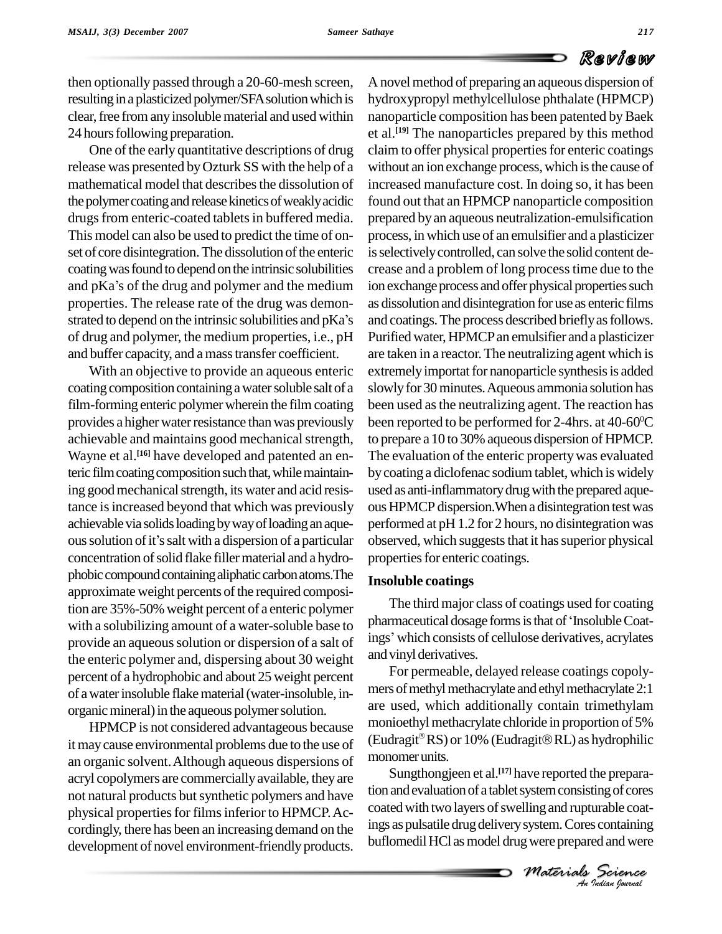then optionally passed through a 20-60-mesh screen, resulting in a plasticized polymer/SFA solution which is clear, free from any insoluble material and used within 24 hours following preparation.

One of the early quantitative descriptions of drug release was presented byOzturk SS with the help of a mathematical model that describes the dissolution of the polymer coating and release kinetics of weakly acidic drugs from enteric-coated tablets in buffered media. This model can also be used to predict the time of on set of core disintegration. The dissolution of the enteric is selectively coating was found to depend on the intrinsic solubilities crease and a and pKa's of the drug and polymer and the medium ion exchange coating was found to depend on the intrinsic solubilities properties. The release rate of the drug was demon and pKa's of the drug and polymer and the medium<br>properties. The release rate of the drug was demon-<br>strated to depend on the intrinsic solubilities and pKa's of drug and polymer, the medium properties, i.e., pH and buffer capacity, and amasstransfer coefficient.

With an objective to provide an aqueous enteric coating composition containing a water soluble salt of a film-forming enteric polymer wherein the film coating provides a higher water resistance than was previously achievable and maintains good mechanical strength, Wayne et al.<sup>[16]</sup> have developed and patented an en-<br>The teric film coating composition such that, while maintaining good mechanical strength, its water and acid resistance is increased beyond that which was previously achievable via solids loading by way of loading an aqueous solution of it's salt with a dispersion of a particular concentration of solid flake filler material and a hydrophobic compound containing aliphatic carbon atoms. The approximate weight percents of the required composition are 35%-50% weight percent of a enteric polymer<br>with a solubilizing amount of a water-soluble base to pharmaceutical dosage forms is that of 'Insoluble Coatwith a solubilizing amount of a water-soluble base to provide an aqueous solution or dispersion of a salt of the enteric polymer and, dispersing about 30 weight percent of a hydrophobic and about 25 weight percent of awaterinsoluble flakematerial(water-insoluble, in organic mineral) in the aqueous polymer solution.

HPMCP is not considered advantageous because itmaycause environmental problems due to the use of an organic solvent.Although aqueous dispersions of acryl copolymers are commerciallyavailable, they are not natural products but synthetic polymers and have physical properties for films inferior to HPMCP. Accordingly, there has been an increasing demand on the development of novel environment-friendly products.

A novel method of preparing an aqueous dispersion of hydroxypropyl methylcellulose phthalate (HPMCP) nanoparticle composition has been patented by Baek et al. **[19]** The nanoparticles prepared by this method claim to offer physical properties for enteric coatings without an ion exchange process, which is the cause of increased manufacture cost. In doing so, it has been found out that an HPMCP nanoparticle composition prepared byan aqueous neutralization-emulsification process, in which use of an emulsifier and a plasticizer is selectively controlled, can solve the solid content decrease and a problem of long processtime due to the ion exchange process and offer physical properties such as dissolution and disintegration foruse as enteric films and coatings. The process described briefly as follows. Purified water, HPMCP an emulsifier and a plasticizer are taken in a reactor.The neutralizing agent which is extremely importat for nanoparticle synthesis is added slowly for 30 minutes. Aqueous ammonia solution has been used as the neutralizing agent. The reaction has been reported to be performed for 2-4hrs. at 40-60 <sup>0</sup>C to prepare a 10 to 30% aqueous dispersion of HPMCP. The evaluation of the enteric property was evaluated by coating a diclofenac sodium tablet, which is widely used as anti-inflammatorydrugwith the prepared aque ousHPMCP dispersion.When a disintegration testwas performed at pH 1.2 for 2 hours, no disintegration was observed, which suggests that it has superior physical properties for enteric coatings.

### **Insoluble coatings**

The third major class of coatings used for coating Insoluble coatings<br>The third major class of coatings used for coating<br>pharmaceutical dosage forms is that of 'Insoluble Coatings' which consists of cellulose derivatives, acrylates and vinyl derivatives.

For permeable, delayed release coatings copoly mers of methyl methacrylate and ethyl methacrylate 2:1 are used, which additionally contain trimethylam monioethyl methacrylate chloride in proportion of 5% (Eudragit®RS) or  $10%$  (Eudragit®RL) as hydrophilic monomerunits.

Expresses consisting of cores<br> **I** ling and rupturable coat-<br> **Surface of Science**<br> *Materials Science*<br> *Materials An Indian Iournal* tion and evaluation of a tablet system consisting of cores Sungthongjeen et al. **[17]** have reported the preparacoated with two layers of swelling and rupturable coatings as pulsatile drug delivery system. Cores containing buflomedil HCl as model drug were prepared and were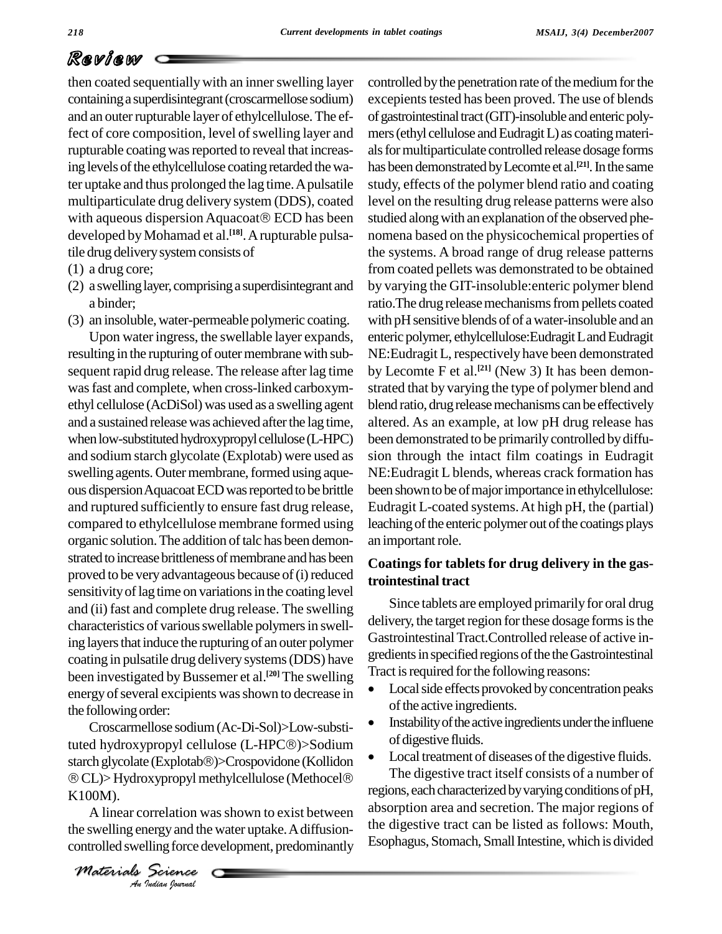then coated sequentially with an inner swelling layer containinga superdisintegrant(croscarmellose sodium) and an outer rupturable layer of ethylcellulose. The effect of core composition, level of swelling layer and rupturable coating was reported to reveal that increasing levels of the ethylcellulose coating retarded the water uptake and thus prolonged the lag time. A pulsatile multiparticulate drug delivery system (DDS), coated with aqueous dispersion Aquacoat<sup>®</sup> ECD has been developed byMohamad et al. **[18]**.Arupturable pulsatile drug deliverysystemconsists of

- (1) a drug core;
- (2) a swellinglayer,comprisinga superdisintegrant and a binder;
- (3) an insoluble,water-permeable polymeric coating.

Upon water ingress, the swellable layer expands, resulting in the rupturing of outer membrane with subsequent rapid drug release. The release after lag time wasfast and complete, when cross-linked carboxym ethyl cellulose (AcDiSol) was used as a swelling agent and a sustained releasewas achieved afterthe lag time, when low-substituted hydroxypropyl cellulose (L-HPC) and sodium starch glycolate (Explotab) were used as swelling agents. Outer membrane, formed using aqueous dispersion Aquacoat ECD was reported to be brittle and ruptured sufficiently to ensure fast drug release, compared to ethylcellulose membrane formed using organic solution. The addition of talc has been demonstrated to increase brittleness of membrane and has been proved to be very advantageous because of (i) reduced sensitivity of lag time on variations in the coating level and (ii) fast and complete drug release. The swelling characteristics of various swellable polymers in swelling layers that induce the rupturing of an outer polymer coating in pulsatile drug delivery systems (DDS) have greatents in specified regions of the the Gas<br>been investigated by Bussemer et al.<sup>[20]</sup> The swelling Tract is required for the following reasons: been investigated by Bussemer et al.<sup>[20]</sup> The swelling I<sup>ract is</sup> energy of several excipients was shown to decrease in  $\bullet$  Local side effects provok<br>the following order: the following order:

 $\circledR$  **CL)> Hydroxypropyl methylcellulose (Methocel** $\circledR$ Croscarmellose sodium(Ac-Di-Sol)>Low-substithe following order:<br>
Croscarmellose sodium (Ac-Di-Sol)>Low-substi-<br>
tuted hydroxypropyl cellulose (L-HPC®)>Sodium Croscarmellose sodium (Ac-Di-Sol)>Low-substi-<br>tuted hydroxypropyl cellulose (L-HPC®)>Sodium<br>starch glycolate (Explotab®)>Crospovidone (Kollidon • Loc tuted hydroxypropyl cellulose (L-HPC®)>Sodium of digesti<br>starch glycolate (Explotab®)>Crospovidone (Kollidon CL)>Hydroxypropyl methylcellulose (Methocel® The dige K100M).

*Indian*<br>*Indian*<br>*Indian boundal* A linear correlation was shown to exist between the swelling energy and the water uptake. A diffusioncontrolled swelling force development, predominantly controlled by the penetration rate of the medium for the excepients tested has been proved. The use of blends of gastrointestinal tract (GIT)-insoluble and enteric polymers (ethyl cellulose and Eudragit L) as coating materials for multiparticulate controlled release dosage forms has been demonstrated by Lecomte et al.<sup>[21]</sup>. In the same study, effects of the polymer blend ratio and coating level on the resulting drug release patterns were also studied along with an explanation of the observed phenomena based on the physicochemical properties of the systems. A broad range of drug release patterns from coated pellets was demonstrated to be obtained by varying the GIT-insoluble:enteric polymer blend ratio. The drug release mechanisms from pellets coated with pH sensitive blends of of a water-insoluble and an enteric polymer, ethylcellulose: Eudragit Land Eudragit NE:Eudragit L, respectively have been demonstrated by Lecomte F et al. **[21]** (New 3) It has been demon strated that by varying the type of polymer blend and blend ratio, drug release mechanisms can be effectively altered. As an example, at low pH drug release has been demonstrated to be primarily controlled by diffusion through the intact film coatings in Eudragit NE:Eudragit L blends, whereas crack formation has been shown to be of major importance in ethylcellulose: Eudragit L-coated systems.At high pH, the (partial) leaching of the enteric polymer out of the coatings plays an important role.

## **Coatings for tablets for drug delivery in the gastrointestinal tract**

Since tablets are employed primarily for oral drug delivery, the target region for these dosage forms is the GastrointestinalTract.Controlled release of active in gredients in specified regions of the the Gastrointestinal<br>Tract is required for the following reasons:

- Local side effects provoked by concentration peaks<br>of the active ingredients.
- Instability of the active ingredients under the influene of digestive fluids.
- Local treatment of diseases of the digestive fluids. The digestive tract itself consists of a number of regions, each characterized by varying conditions of pH, absorption area and secretion. The major regions of the digestive tract can be listed as follows: Mouth, Esophagus, Stomach, Small Intestine, which is divided

*Materials Science*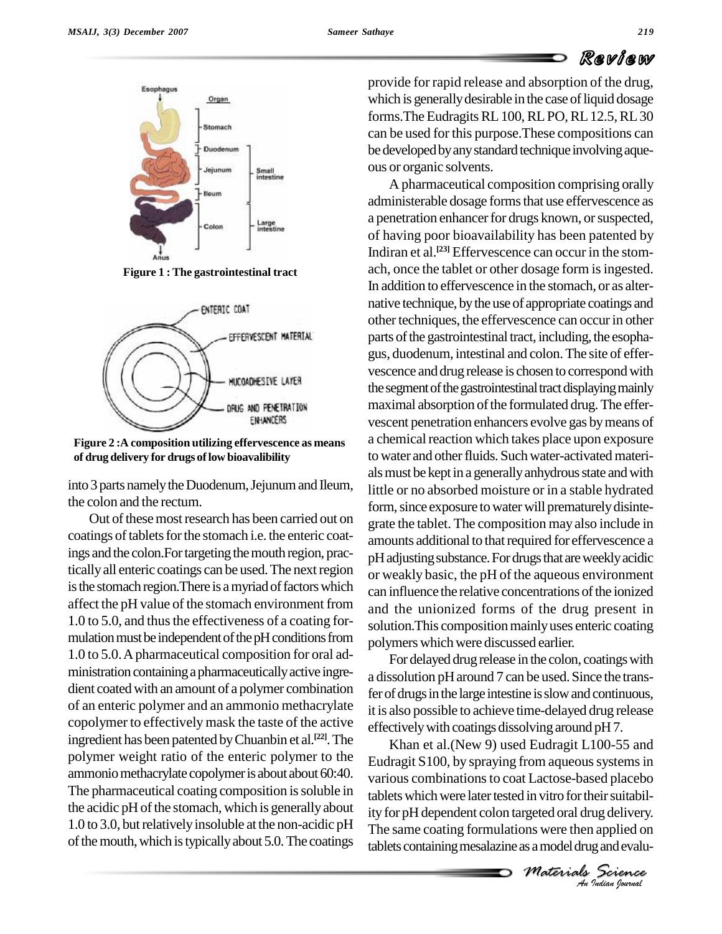

**Figure 1 : The gastrointestinal tract**



**Figure 2 :A composition utilizing effervescence as means of drugdelivery for drugs oflow bioavalibility**

into 3 parts namely the Duodenum, Jejunum and Ileum, the colon and the rectum.

Out of these most research has been carried out on coatings of tablets for the stomach i.e. the enteric coatings and the colon. For targeting the mouth region, practicallyall enteric coatings can be used.The nextregion is the stomach region. There is a myriad of factors which affect the pH value of the stomach environment from 1.0 to 5.0, and thus the effectiveness of a coating formulation must be independent of the pH conditions from 1.0 to 5.0.Apharmaceutical composition for oral ad ministration containing a pharmaceutically active ingredient coated with an amount of a polymer combination of an enteric polymer and an ammonio methacrylate copolymer to effectively mask the taste of the active ingredient has been patented by Chuanbin et al.<sup>[22]</sup>. The  $K$ polymer weight ratio of the enteric polymer to the ammonio methacrylate copolymer is about about 60:40. The pharmaceutical coating composition is soluble in the acidic pH of the stomach, which is generally about  $1.0$  to 3.0, but relatively insoluble at the non-acidic pH of the mouth, which is typically about 5.0. The coatings

provide for rapid release and absorption of the drug, which is generally desirable in the case of liquid dosage forms. The Eudragits RL 100, RL PO, RL 12.5, RL 30 can be used for this purpose.These compositions can be developed by any standard technique involving aqueous or organic solvents.

A pharmaceutical composition comprising orally administerable dosage forms that use effervescence as a penetration enhancer for drugs known, or suspected, of having poor bioavailability has been patented by Indiran et al. **[23]** Effervescence can occur in the stom ach, once the tablet or other dosage form is ingested. In addition to effervescence in the stomach, or as alter native technique, bythe use of appropriate coatings and other techniques, the effervescence can occur in other parts of the gastrointestinal tract, including, the esophagus, duodenum, intestinal and colon.The site of effer vescence and drug release is chosen to correspond with the segment of the gastrointestinal tract displaying mainly maximal absorption of the formulated drug. The effervescent penetration enhancers evolve gas bymeans of a chemical reaction which takes place upon exposure to water and other fluids. Such water-activated materials must be kept in a generally anhydrous state and with little or no absorbed moisture or in a stable hydrated form, since exposure to water will prematurely disintegrate the tablet. The composition may also include in amounts additional to that required for effervescence a pH adjusting substance. For drugs that are weekly acidic or weakly basic, the pH of the aqueous environment can influence the relative concentrations of the ionized and the unionized forms of the drug present in solution. This composition mainly uses enteric coating polymers which were discussed earlier.

For delayed drug release in the colon, coatings with a dissolution pH around 7 can be used. Since the transfer of drugs in the large intestine is slow and continuous, it is also possible to achieve time-delayed drug release effectivelywith coatings dissolving around pH7.

*M* In vitro for their suitabil-<br>regeted oral drug delivery.<br>Ins were then applied on<br>as a model drug and evalu-<br>*Materials Science*<br>*An Judian Sparmal* various combinations to coat Lactose-based placebo Khan et al.(New 9) used Eudragit L100-55 and Eudragit  $S100$ , by spraying from aqueous systems in tablets which were later tested in vitrofor their suitability for pH dependent colon targeted oral drug delivery. The same coating formulations were then applied on tablets containing mesalazine as a model drug and evalu-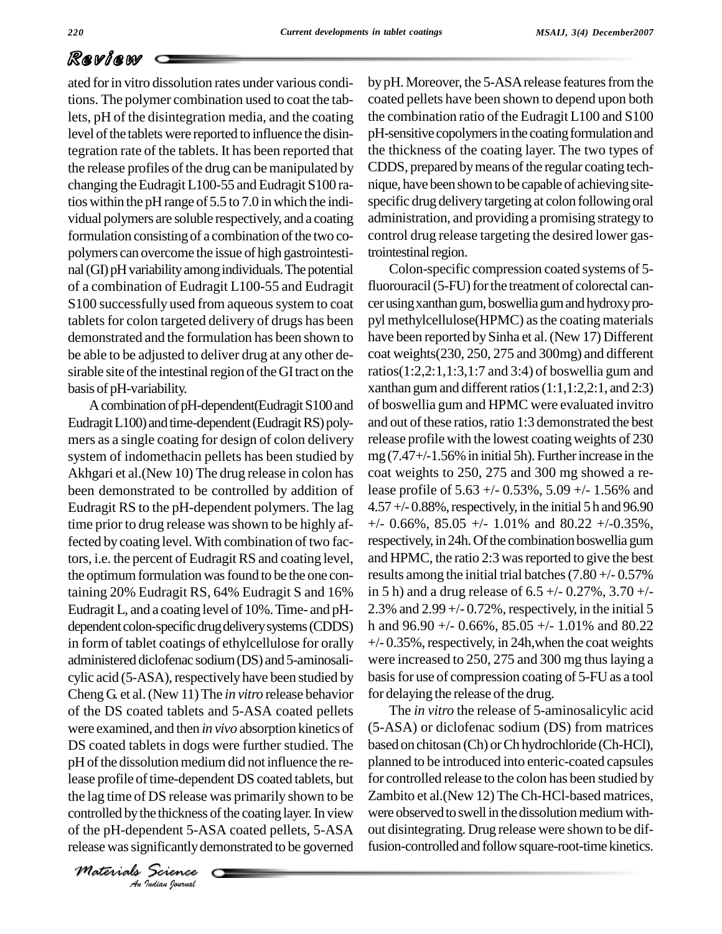ated forin vitro dissolution rates under various conditions. The polymer combination used to coat the tablets, pH of the disintegration media, and the coating level of the tablets were reported to influence the disintegration rate of the tablets. It has been reported that the release profiles of the drug can be manipulated by changing the Eudragit L100-55 and Eudragit S100 ratios within the pH range of 5.5 to 7.0 inwhich the indi vidual polymers are soluble respectively, and a coating formulation consisting of a combination of the two copolymers can overcome the issue of high gastrointesti nal (GI) pH variability among individuals. The potential of a combination of Eudragit L100-55 and Eudragit S100 successfully used from aqueous system to coat tablets for colon targeted delivery of drugs has been demonstrated and the formulation has been shown to be able to be adjusted to deliver drug at any other de sirable site of the intestinal region of the GI tract on the basis of pH-variability.

lease profile of time-dependent DS coated tablets, but for *I* DS release<br>*I* DS release<br>*Indian Journal*<br>*Jedian Journal* A combination of pH-dependent(Eudragit S100 and Eudragit L100) and time-dependent (Eudragit RS) polymers as a single coating for design of colon delivery system of indomethacin pellets has been studied by Akhgari et al.(New 10) The drug release in colon has been demonstrated to be controlled by addition of Eudragit RS to the pH-dependent polymers. The lag time prior to drug release was shown to be highly affected by coating level. With combination of two factors, i.e. the percent of EudragitRS and coating level, the optimum formulation was found to be the one containing 20% Eudragit RS, 64% Eudragit S and 16% EudragitL, and a coating level of 10%.Time- and pH dependent colon-specific drug delivery systems (CDDS) in form of tablet coatings of ethylcellulose for orally administered diclofenac sodium(DS) and 5-aminosali cylic acid (5-ASA), respectively have been studied by Cheng G. et al.(New 11)The *in vitro* release behavior of the DS coated tablets and 5-ASA coated pellets were examined, and then *in vivo* absorption kinetics of DS coated tablets in dogs were further studied. The pH of the dissolution medium did not influence the rethe lag time of DS release was primarily shown to be controlled by the thickness of the coating layer. In view of the pH-dependent 5-ASA coated pellets, 5-ASA release wassignificantlydemonstrated to be governed

*Materials Science*

by pH. Moreover, the 5-ASA release features from the coated pellets have been shown to depend upon both the combination ratio of the Eudragit L100 and S100 pH-sensitive copolymers in the coating formulation and the thickness of the coating layer. The two types of CDDS, prepared by means of the regular coating technique, have been shown to be capable of achieving sitespecific drug delivery targeting at colon following oral administration, and providing a promising strategy to control drug release targeting the desired lower gastrointestinal region.

Colon-specific compression coated systems of 5 fluorouracil (5-FU) for the treatment of colorectal cancer using xanthan gum, boswellia gum and hydroxy propyl methylcellulose(HPMC) asthe coating materials have been reported by Sinha et al. (New 17) Different coat weights(230, 250, 275 and 300mg) and different ratios(1:2,2:1,1:3,1:7 and 3:4) of boswellia gum and xanthan gum and different ratios  $(1:1,1:2,2:1,$  and  $2:3)$ of boswellia gum and HPMC were evaluated invitro and out of these ratios, ratio 1:3 demonstrated the best release profile with the lowest coatingweights of 230 mg  $(7.47 + (-1.56\%)$  in initial 5h). Further increase in the coat weights to 250, 275 and 300 mg showed a release profile of 5.63 +/- 0.53%, 5.09 +/- 1.56% and  $4.57 + (-0.88\%$ , respectively, in the initial 5 h and 96.90  $+/-$  0.66%, 85.05  $+/-$  1.01% and 80.22  $+/-$ 0.35%, respectively, in 24h. Of the combination boswellia gum and HPMC, the ratio 2:3 was reported to give the best results among the initial trial batches  $(7.80 + -0.57%)$ in 5 h) and a drug release of  $6.5 +/-0.27\%$ ,  $3.70 +/-$ 2.3% and  $2.99 + -0.72$ %, respectively, in the initial 5 h and  $96.90 +/- 0.66\%, 85.05 +/- 1.01\%$  and  $80.22$  $+/- 0.35\%$ , respectively, in 24h, when the coat weights were increased to 250, 275 and 300 mg thus laying a basisfor use of compression coating of 5-FU as a tool for delaying the release of the drug.

The *in vitro* the release of 5-aminosalicylic acid (5-ASA) or diclofenac sodium (DS) from matrices based on chitosan (Ch) or Ch hydrochloride (Ch-HCl), planned to be introduced into enteric-coated capsules for controlled release to the colon has been studied by Zambito et al.(New 12) TheCh-HCl-based matrices, were observed to swell in the dissolution medium without disintegrating. Drug release were shown to be diffusion-controlled and follow square-root-time kinetics.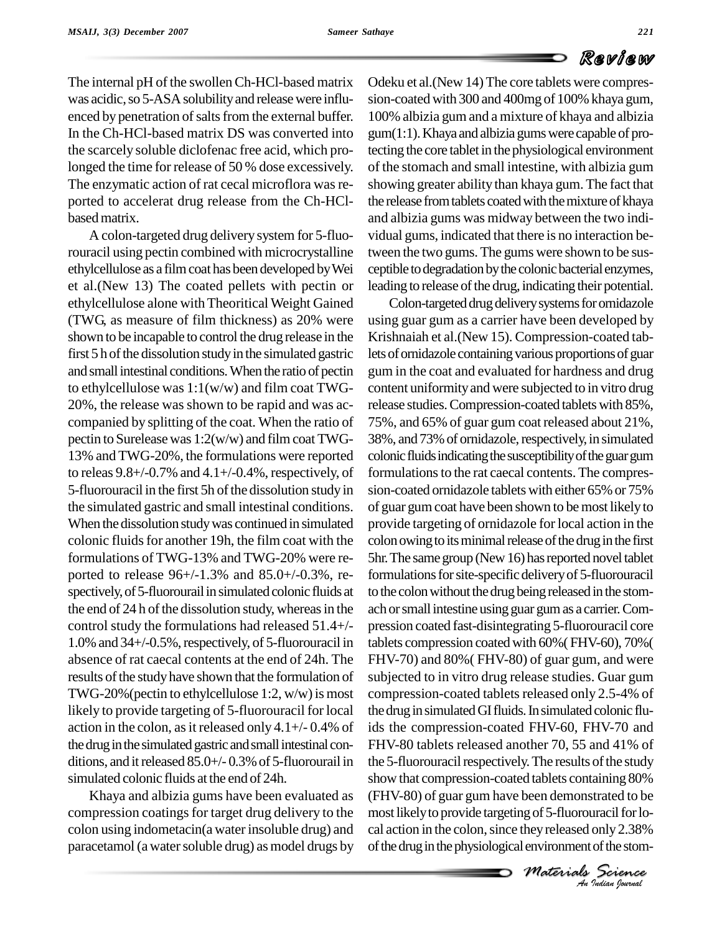The internal pH of the swollenCh-HCl-based matrix was acidic, so 5-ASA solubility and release were influenced by penetration of salts from the external buffer. In the Ch-HCl-based matrix DS was converted into the scarcely soluble diclofenac free acid, which prolonged the time for release of 50 % dose excessively. The enzymatic action of rat cecal microflora was reported to accelerat drug release from the Ch-HCl basedmatrix.

A colon-targeted drug delivery system for 5-fluorouracil using pectin combined with microcrystalline ethylcellulose as a filmcoat has been developed byWei et al.(New 13) The coated pellets with pectin or ethylcellulose alone withTheoritical Weight Gained (TWG, as measure of film thickness) as 20% were shown to be incapable to control the drug release in the first 5 h of the dissolution study in the simulated gastric and smallintestinal conditions.When the ratio of pectin to ethylcellulose was  $1:1(w/w)$  and film coat TWG-20%, the release was shown to be rapid and was ac companied by splitting of the coat. When the ratio of pectin to Surelease was  $1:2(w/w)$  and film coat TWG-13% and TWG-20%, the formulations were reported to releas  $9.8+/0.7\%$  and  $4.1+/0.4\%$ , respectively, of 5-fluorouracil in the first 5h of the dissolution study in the simulated gastric and small intestinal conditions. When the dissolution study was continued in simulated colonic fluids for another 19h, the film coat with the formulations of TWG-13% and TWG-20% were re ported to release 96+/-1.3% and 85.0+/-0.3%, re spectively, of 5-fluorourail in simulated colonic fluids at the end of  $24$  h of the dissolution study, whereas in the control study the formulations had released 51.4+/-  $1.0\%$  and  $34+/0.5\%$ , respectively, of 5-fluorouracil in absence of rat caecal contents at the end of 24h. The results of the study have shown that the formulation of TWG-20% (pectin to ethylcellulose 1:2,  $w/w$ ) is most likely to provide targeting of 5-fluorouracil for local action in the colon, as it released only  $4.1+\frac{1}{9}$  O.4% of the drug in the simulated gastric and small intestinal conditions, and it released  $85.0+/0.3%$  of 5-fluorourail in simulated colonic fluids at the end of 24h.

Khaya and albizia gums have been evaluated as compression coatings for target drug delivery to the colon using indometacin(a water insoluble drug) and paracetamol (a water soluble drug) as model drugs by Odeku et al.(New 14) The core tablets were compres sion-coated with 300 and 400mg of 100% khaya gum, 100% albizia gum and a mixture of khaya and albizia gum(1:1).Khaya and albizia gumswere capable of protecting the core tablet in the physiological environment of the stomach and small intestine, with albizia gum showing greater ability than khaya gum. The fact that the release from tablets coated with the mixture of khaya and albizia gums was midway between the two indi vidual gums, indicated that there is no interaction between the two gums. The gums were shown to be sus ceptible to degradation by the colonic bacterial enzymes, leading to release of the drug, indicating their potential.

*M*<br>
been demonstrated to be<br> *g* of 5-fluorouracil for lo-<br>
hey released only 2.38%<br>
environment of the stom-<br> *Materials*<br> *Le ne nettra lournal An*show that compression-coated tablets containing 80% Colon-targeted drug delivery systems for ornidazole using guar gum as a carrier have been developed by Krishnaiah et al.(New 15). Compression-coated tablets of ornidazole containing various proportions of guar gum in the coat and evaluated for hardness and drug content uniformity and were subjected to in vitro drug release studies.Compression-coated tablets with 85%, 75%, and 65% of guar gum coatreleased about 21%, 38%, and 73% of ornidazole, respectively, in simulated colonic fluids indicating the susceptibility of the guar gum formulations to the rat caecal contents. The compression-coated ornidazole tablets with either 65% or 75% of guar gumcoat have been shown to bemost likelyto provide targeting of ornidazole for local action in the colon owing to its minimal release of the drug in the first 5hr.The samegroup (New16) hasreported novel tablet formulations for site-specific delivery of 5-fluorouracil to the colon without the drug being released in the stomach orsmallintestine using guar gumas a carrier.Com pression coated fast-disintegrating 5-fluorouracil core tablets compression coatedwith 60%(FHV-60), 70%( FHV-70) and 80%( FHV-80) of guar gum, and were subjected to in vitro drug release studies. Guar gum compression-coated tablets released only 2.5-4% of the drug in simulated GI fluids. In simulated colonic fluids the compression-coated FHV-60, FHV-70 and FHV-80 tablets released another 70, 55 and 41% of the 5-fluorouracil respectively. The results of the study (FHV-80) of guar gum have been demonstrated to be most likely to provide targeting of 5-fluorouracil for local action in the colon, since they released only 2.38% of the drug in the physiological environment of the stom-

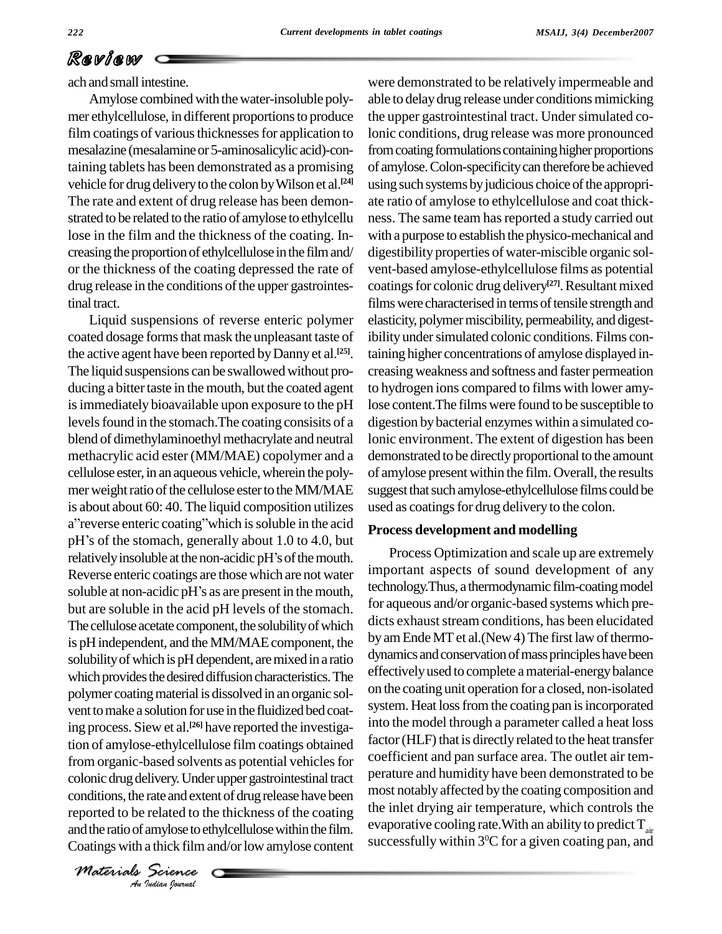ach andsmall intestine.

Amylose combined with thewater-insoluble poly mer ethylcellulose, in different proportionsto produce film coatings of various thicknesses for application to mesalazine (mesalamine or 5-aminosalicylic acid)-containing tablets has been demonstrated as a promising vehicle for drug delivery to the colon by Wilson et al.<sup>[24]</sup> u The rate and extent of drug release has been demon strated to be related to the ratio of amylose to ethylcellu lose in the film and the thickness of the coating. In creasing the proportion of ethylcellulose in the film and/ or the thickness of the coating depressed the rate of drug release in the conditions of the upper gastrointestinal tract.

colonic drug delivery. Under upper gastrointestinal tract per *Index*<br>*Indian Indian*<br>*Indian Journal*<br>*Indian Journal* Liquid suspensions of reverse enteric polymer coated dosage forms that mask the unpleasant taste of the active agent have been reported by Danny et al.<sup>[25]</sup>. tai The liquid suspensions can be swallowed without producing a bitter taste in the mouth, but the coated agent is immediately bioavailable upon exposure to the pH levels found in the stomach. The coating consisits of a blend of dimethylaminoethyl methacrylate and neutral methacrylic acid ester (MM/MAE) copolymer and a cellulose ester, in an aqueous vehicle, wherein the polymer weight ratio of the cellulose ester to the MM/MAE is about about 60: 40. The liquid composition utilizes a" reverse enteric coating" which is soluble in the acid is about about 60: 40. The liquid composition utilizes use<br>a"reverse enteric coating" which is soluble in the acid<br>pH's of the stomach, generally about 1.0 to 4.0, but a" reverse enteric coating" which is soluble in the acid<br>pH's of the stomach, generally about 1.0 to 4.0, but<br>relatively insoluble at the non-acidic pH's of the mouth. Reverse enteric coatings are those which are not water relatively insoluble at the non-acidic pH's of the mouth.<br>Reverse enteric coatings are those which are not water<br>soluble at non-acidic pH's as are present in the mouth, but are soluble in the acid pH levels of the stomach. The cellulose acetate component, the solubility of which is pHindependent, and theMM/MAEcomponent, the solubility of which is pH dependent, are mixed in a ratio which provides the desired diffusion characteristics. The polymer coating material is dissolved in an organic solvent to make a solution for use in the fluidized bed coating process. Siew et al. **[26]** have reported the investigation of amylose-ethylcellulose film coatings obtained from organic-based solvents as potential vehicles for conditions, the rate and extent of drug release have been reported to be related to the thickness of the coating the inlet drying air temperature, which controls the and the ratio of amylose to ethylcellulose within the film evaporative cooling rate. With an ability to predict and the ratio of amylose to ethylcellulose within the film. Coatings with a thick film and/or low amylose content

were demonstrated to be relatively impermeable and able to delay drug release under conditions mimicking the upper gastrointestinal tract. Under simulated colonic conditions, drug release was more pronounced from coating formulations containing higher proportions of amylose.Colon-specificitycan therefore be achieved using such systems by judicious choice of the appropriate ratio of amylose to ethylcellulose and coat thick ness. The same team has reported a study carried out with a purpose to establish the physico-mechanical and digestibility properties of water-miscible organic sol vent-based amylose-ethylcellulose films as potential coatings for colonic drug delivery<sup>[27]</sup>. Resultant mixed films were characterised in terms of tensile strength and elasticity, polymer miscibility, permeability, and digestibility under simulated colonic conditions. Films containing higher concentrations of amylose displayed in-creasing weakness and softness and faster permeation to hydrogen ions compared to films with lower amylose content.The films were found to be susceptible to digestion bybacterial enzymes within a simulated colonic environment. The extent of digestion has been demonstrated to be directly proportional to the amount of amylose present within the film.Overall, the results suggest that such amylose-ethylcellulose films could be used as coatings for drug delivery to the colon.

#### **Process development and modelling**

Process Optimization and scale up are extremely important aspects of sound development of any technology. Thus, a thermodynamic film-coating model for aqueous and/or organic-based systems which pre dicts exhaust stream conditions, has been elucidated by am Ende MT et al.(New 4) The first law of thermodynamics and conservation of mass principles have been effectivelyused to complete amaterial-energybalance on the coating unit operation for a closed, non-isolated system. Heat loss from the coating pan is incorporated into the model through a parameter called a heat loss factor (HLF) that is directly related to the heat transfer coefficient and pan surface area. The outlet air tem perature and humidity have been demonstrated to be most notablyaffected by the coating composition and the inlet drying air temperature, which controls the evaporative cooling rate.With an ability to predict  $T_{air}$  successfully within 3<sup>0</sup>C for a given coating pan, and

*Materials Science*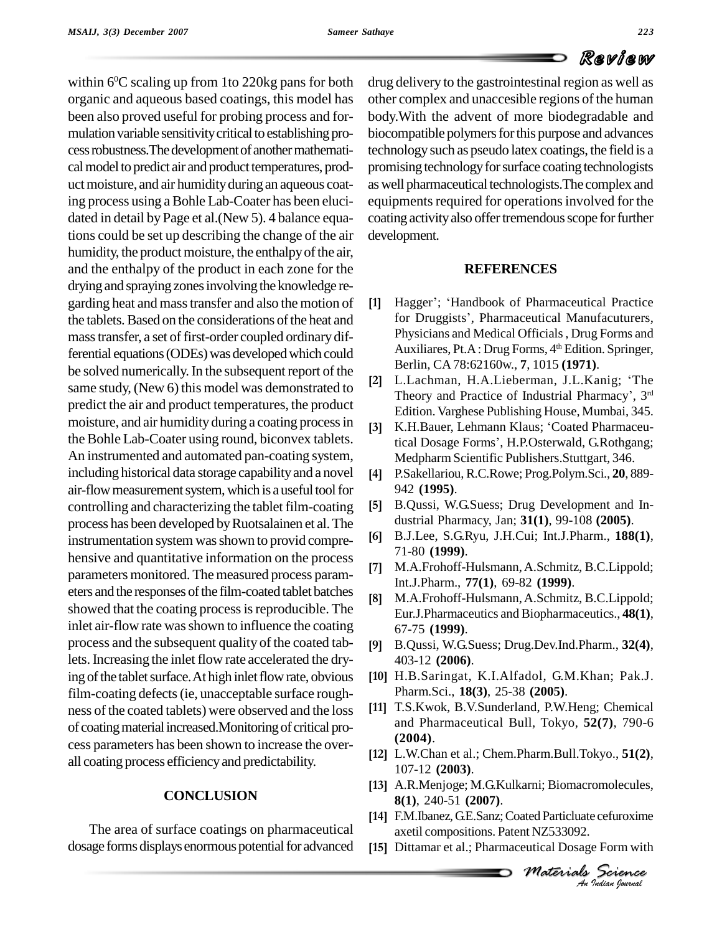within 6<sup>o</sup>C scaling up from 1 to 220kg pans for both drug de organic and aqueous based coatings, this model has been also proved useful for probing process and for mulation variable sensitivity critical to establishing process robustness. The development of another mathematical model to predict air and product temperatures, product moisture, and air humidity during an aqueous coating process using aBohle Lab-Coater has been eluci dated in detail by Page et al.(New 5). 4 balance equations could be set up describing the change of the air humidity, the product moisture, the enthalpy of the air, and the enthalpy of the product in each zone for the drying and spraying zones involving the knowledge regarding heat and masstransfer and also the motion of the tablets. Based on the considerations of the heat and mass transfer, a set of first-order coupled ordinary differential equations (ODEs) was developed which could be solved numerically. In the subsequent report of the same study, (New 6) this model was demonstrated to predict the air and product temperatures, the product moisture, and air humidity during a coating process in [3] the Bohle Lab-Coater using round, biconvex tablets. An instrumented and automated pan-coating system, including historical data storage capability and a novel [4] air-flow measurement system, which is a useful tool for controlling and characterizing the tablet film-coating process has been developed by Ruotsalainen et al. The<br>instrumentation system was shown to provided compresed [6] instrumentation system was shown to provid comprehensive and quantitative information on the process [7] parameters monitored. The measured process parameters and the responses of the film-coated tablet batches [8] showed that the coating process is reproducible. The inlet air-flow rate was shown to influence the coating process and the subsequent quality of the coated tablets.Increasing the inlet flow rate accelerated the drying of the tablet surface. At high inlet flow rate, obvious film-coating defects (ie, unacceptable surface roughness of the coated tablets) were observed and the loss of coating material increased.Monitoring of critical process parameters has been shown to increase the over all coating process efficiencyand predictability.

### **CONCLUSION**

The area of surface coatings on pharmaceutical dosage forms displays enormous potential for advanced drug delivery to the gastrointestinal region as well as other complex and unaccesible regions of the human body.With the advent of more biodegradable and biocompatible polymers for this purpose and advances technology such as pseudo latex coatings, the field is a promising technology for surface coating technologists as well pharmaceutical technologists. The complex and equipments required for operations involved for the coating activity also offer tremendous scope for further development.

### **REFERENCES**

- Hagger'; 'Handbook of Pharmaceutical Practice for Druggists', Pharmaceutical Manufacuturers, Physicians and Medical Officials, Drug Forms and Auxiliares, Pt.A: Drug Forms, 4 th Edition. Springer, Berlin, CA 78:62160w., **7**, 1015 **(1971)**. **[2]**Auxiliares, Pt.A : Drug Forms, 4<sup>th</sup> Edition. Springer,<br>Berlin, CA 78:62160w., **7**, 1015 (**1971**).<br>L.Lachman, H.A.Lieberman, J.L.Kanig; 'The
- Berlin, CA 78:62160w., 7, 1015 (**1971**).<br>L.Lachman, H.A.Lieberman, J.L.Kanig; 'The<br>Theory and Practice of Industrial Pharmacy', 3<sup>rd</sup> Theory and Practice of Industrial Pharmacy', 3rd Edition. Varghese Publishing House, Mumbai, 345. **[3]**Theory and Practice of Industrial Pharmacy', 3<sup>rd</sup> Edition. Varghese Publishing House, Mumbai, 345.<br>K.H.Bauer, Lehmann Klaus; 'Coated Pharmaceu-
- Edition. Varghese Publishing House, Mumbai, 345.<br>K.H.Bauer, Lehmann Klaus; 'Coated Pharmaceu-<br>tical Dosage Forms', H.P.Osterwald, G.Rothgang; tical Dosage Forms', H.P.Osterwald, G.Rothgang;<br>Medpharm Scientific Publishers.Stuttgart, 346.
- P.Sakellariou,R.C.Rowe; Prog.Polym.Sci., **20**, 889- 942 **(1995)**. **[5]**
- B.Qussi, W.G.Suess; Drug Development and In dustrial Pharmacy, Jan; **31(1)**, 99-108 **(2005)**. **[6]**
- B.J.Lee, S.G.Ryu, J.H.Cui; Int.J.Pharm., **188(1)**, 71-80 **(1999)**. **[7]**
- M.A.Frohoff-Hulsmann,A.Schmitz, B.C.Lippold; Int.J.Pharm., **77(1)**, **69-82** (1999).
- M.A.Frohoff-Hulsmann,A.Schmitz, B.C.Lippold; Eur.J.Pharmaceutics and Biopharmaceutics., **48(1)**, 67-75 **(1999)**. **[9]**
- B.Qussi, W.G.Suess; Drug.Dev.Ind.Pharm., **32(4)**, 403-12 **(2006)**. **[10]**
- [10] H.B.Saringat, K.I.Alfadol, G.M.Khan; Pak.J. Pharm.Sci., **18(3)**, 25-38 **(2005)**. **[11]**
- [11] T.S.Kwok, B.V.Sunderland, P.W.Heng; Chemical and Pharmaceutical Bull, Tokyo, **52(7)**, 790-6 **(2004)**.
- L.W.Chan et al.; Chem.Pharm.Bull.Tokyo., **51(2)**, 107-12 **(2003)**. **[13]**
- *M*<br> *Material Dosage Form with<br>
<i>Materials Science*<br> *Materials Science*<br> *An Judian Iourual* A.R.Menjoge; M.G.Kulkarni; Biomacromolecules, **8(1)**, 240-51 **(2007)**.
- [14] F.M.Ibanez, G.E.Sanz; Coated Particluate cefuroxime axetil compositions. Patent NZ533092. **[15]**
- [15] Dittamar et al.; Pharmaceutical Dosage Form with